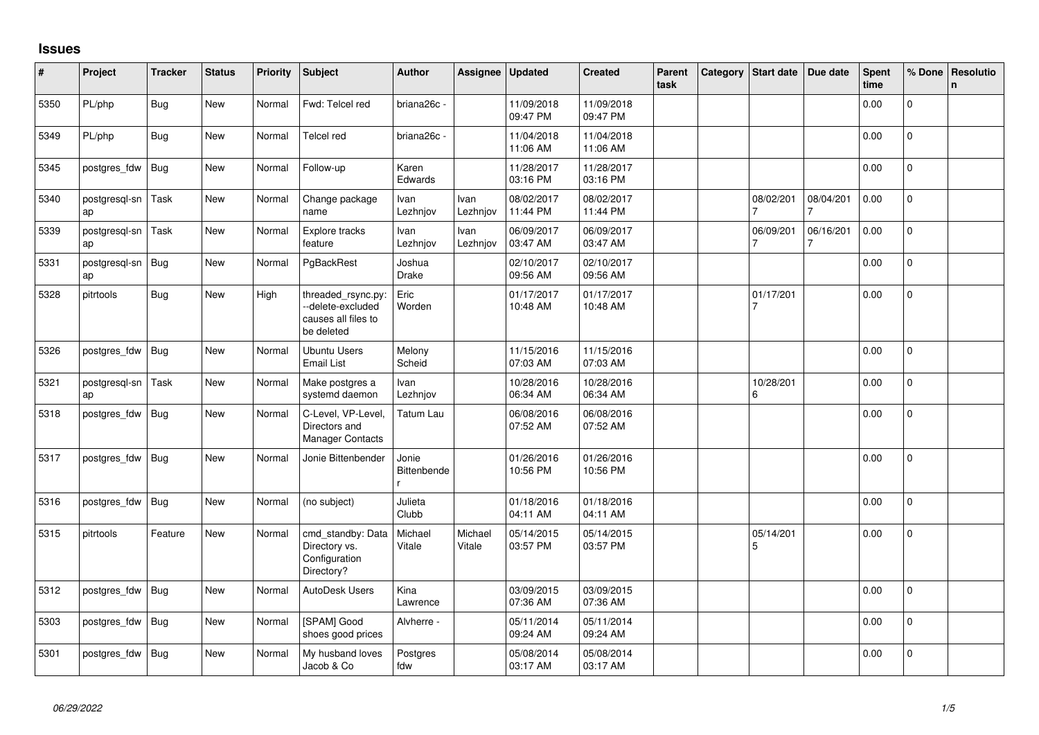## **Issues**

| #    | Project             | <b>Tracker</b> | <b>Status</b> | Priority | <b>Subject</b>                                                               | <b>Author</b>           | Assignee                | Updated                | <b>Created</b>         | Parent<br>task | Category | Start date                  | Due date  | Spent<br>time | % Done         | Resolutio<br>$\mathsf{n}$ |
|------|---------------------|----------------|---------------|----------|------------------------------------------------------------------------------|-------------------------|-------------------------|------------------------|------------------------|----------------|----------|-----------------------------|-----------|---------------|----------------|---------------------------|
| 5350 | PL/php              | Bug            | <b>New</b>    | Normal   | Fwd: Telcel red                                                              | briana26c -             |                         | 11/09/2018<br>09:47 PM | 11/09/2018<br>09:47 PM |                |          |                             |           | 0.00          | $\overline{0}$ |                           |
| 5349 | PL/php              | <b>Bug</b>     | New           | Normal   | Telcel red                                                                   | briana26c -             |                         | 11/04/2018<br>11:06 AM | 11/04/2018<br>11:06 AM |                |          |                             |           | 0.00          | $\mathbf 0$    |                           |
| 5345 | postgres_fdw        | <b>Bug</b>     | <b>New</b>    | Normal   | Follow-up                                                                    | Karen<br>Edwards        |                         | 11/28/2017<br>03:16 PM | 11/28/2017<br>03:16 PM |                |          |                             |           | 0.00          | $\Omega$       |                           |
| 5340 | postgresgl-sn<br>ap | Task           | New           | Normal   | Change package<br>name                                                       | Ivan<br>Lezhnjov        | Ivan<br>Lezhnjov        | 08/02/2017<br>11:44 PM | 08/02/2017<br>11:44 PM |                |          | 08/02/201                   | 08/04/201 | 0.00          | $\mathbf 0$    |                           |
| 5339 | postgresql-sn<br>ap | Task           | <b>New</b>    | Normal   | Explore tracks<br>feature                                                    | <b>Ivan</b><br>Lezhnjov | <b>Ivan</b><br>Lezhnjov | 06/09/2017<br>03:47 AM | 06/09/2017<br>03:47 AM |                |          | 06/09/201                   | 06/16/201 | 0.00          | $\mathsf{O}$   |                           |
| 5331 | postgresgl-sn<br>ap | Bug            | New           | Normal   | PgBackRest                                                                   | Joshua<br>Drake         |                         | 02/10/2017<br>09:56 AM | 02/10/2017<br>09:56 AM |                |          |                             |           | 0.00          | $\pmb{0}$      |                           |
| 5328 | pitrtools           | <b>Bug</b>     | New           | High     | threaded_rsync.py:<br>--delete-excluded<br>causes all files to<br>be deleted | Eric<br>Worden          |                         | 01/17/2017<br>10:48 AM | 01/17/2017<br>10:48 AM |                |          | 01/17/201<br>$\overline{7}$ |           | 0.00          | 0              |                           |
| 5326 | postgres fdw        | Bug            | New           | Normal   | <b>Ubuntu Users</b><br><b>Email List</b>                                     | Melony<br>Scheid        |                         | 11/15/2016<br>07:03 AM | 11/15/2016<br>07:03 AM |                |          |                             |           | 0.00          | $\Omega$       |                           |
| 5321 | postgresgl-sn<br>ap | <b>Task</b>    | New           | Normal   | Make postgres a<br>systemd daemon                                            | Ivan<br>Lezhnjov        |                         | 10/28/2016<br>06:34 AM | 10/28/2016<br>06:34 AM |                |          | 10/28/201<br>6              |           | 0.00          | $\overline{0}$ |                           |
| 5318 | postgres_fdw        | Bug            | New           | Normal   | C-Level, VP-Level,<br>Directors and<br>Manager Contacts                      | Tatum Lau               |                         | 06/08/2016<br>07:52 AM | 06/08/2016<br>07:52 AM |                |          |                             |           | 0.00          | $\overline{0}$ |                           |
| 5317 | postgres_fdw        | <b>Bug</b>     | <b>New</b>    | Normal   | Jonie Bittenbender                                                           | Jonie<br>Bittenbende    |                         | 01/26/2016<br>10:56 PM | 01/26/2016<br>10:56 PM |                |          |                             |           | 0.00          | $\Omega$       |                           |
| 5316 | postgres fdw        | <b>Bug</b>     | <b>New</b>    | Normal   | (no subject)                                                                 | Julieta<br>Clubb        |                         | 01/18/2016<br>04:11 AM | 01/18/2016<br>04:11 AM |                |          |                             |           | 0.00          | $\mathbf 0$    |                           |
| 5315 | pitrtools           | Feature        | <b>New</b>    | Normal   | cmd_standby: Data<br>Directory vs.<br>Configuration<br>Directory?            | Michael<br>Vitale       | Michael<br>Vitale       | 05/14/2015<br>03:57 PM | 05/14/2015<br>03:57 PM |                |          | 05/14/201<br>5              |           | 0.00          | 0              |                           |
| 5312 | postgres_fdw        | Bug            | New           | Normal   | AutoDesk Users                                                               | Kina<br>Lawrence        |                         | 03/09/2015<br>07:36 AM | 03/09/2015<br>07:36 AM |                |          |                             |           | 0.00          | 0              |                           |
| 5303 | postgres_fdw        | Bug            | <b>New</b>    | Normal   | [SPAM] Good<br>shoes good prices                                             | Alvherre -              |                         | 05/11/2014<br>09:24 AM | 05/11/2014<br>09:24 AM |                |          |                             |           | 0.00          | $\overline{0}$ |                           |
| 5301 | postgres fdw        | <b>Bug</b>     | New           | Normal   | My husband loves<br>Jacob & Co                                               | Postgres<br>fdw         |                         | 05/08/2014<br>03:17 AM | 05/08/2014<br>03:17 AM |                |          |                             |           | 0.00          | $\overline{0}$ |                           |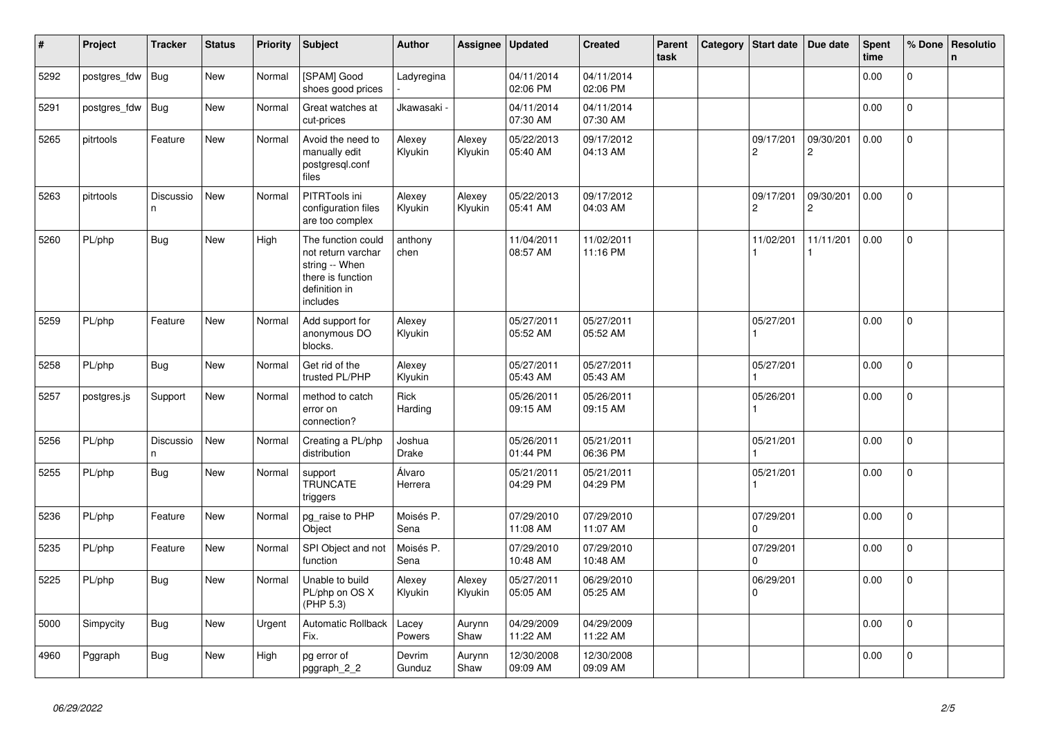| #    | Project      | <b>Tracker</b>            | <b>Status</b> | <b>Priority</b> | <b>Subject</b>                                                                                               | Author                 | Assignee          | <b>Updated</b>         | <b>Created</b>         | Parent<br>task | Category | <b>Start date</b>           | Due date                    | <b>Spent</b><br>time | % Done         | Resolutio<br>$\mathsf{n}$ |
|------|--------------|---------------------------|---------------|-----------------|--------------------------------------------------------------------------------------------------------------|------------------------|-------------------|------------------------|------------------------|----------------|----------|-----------------------------|-----------------------------|----------------------|----------------|---------------------------|
| 5292 | postgres_fdw | Bug                       | <b>New</b>    | Normal          | [SPAM] Good<br>shoes good prices                                                                             | Ladyregina             |                   | 04/11/2014<br>02:06 PM | 04/11/2014<br>02:06 PM |                |          |                             |                             | 0.00                 | $\Omega$       |                           |
| 5291 | postgres fdw | <b>Bug</b>                | New           | Normal          | Great watches at<br>cut-prices                                                                               | Jkawasaki -            |                   | 04/11/2014<br>07:30 AM | 04/11/2014<br>07:30 AM |                |          |                             |                             | 0.00                 | 0              |                           |
| 5265 | pitrtools    | Feature                   | New           | Normal          | Avoid the need to<br>manually edit<br>postgresgl.conf<br>files                                               | Alexey<br>Klyukin      | Alexey<br>Klyukin | 05/22/2013<br>05:40 AM | 09/17/2012<br>04:13 AM |                |          | 09/17/201<br>$\mathbf{2}$   | 09/30/201<br>2              | 0.00                 | $\overline{0}$ |                           |
| 5263 | pitrtools    | Discussio<br>$\mathsf{n}$ | <b>New</b>    | Normal          | PITRTools ini<br>configuration files<br>are too complex                                                      | Alexey<br>Klyukin      | Alexey<br>Klyukin | 05/22/2013<br>05:41 AM | 09/17/2012<br>04:03 AM |                |          | 09/17/201<br>$\overline{c}$ | 09/30/201<br>$\overline{c}$ | 0.00                 | $\Omega$       |                           |
| 5260 | PL/php       | <b>Bug</b>                | New           | High            | The function could<br>not return varchar<br>string -- When<br>there is function<br>definition in<br>includes | anthony<br>chen        |                   | 11/04/2011<br>08:57 AM | 11/02/2011<br>11:16 PM |                |          | 11/02/201                   | 11/11/201                   | 0.00                 | $\Omega$       |                           |
| 5259 | PL/php       | Feature                   | New           | Normal          | Add support for<br>anonymous DO<br>blocks.                                                                   | Alexey<br>Klyukin      |                   | 05/27/2011<br>05:52 AM | 05/27/2011<br>05:52 AM |                |          | 05/27/201                   |                             | 0.00                 | 0              |                           |
| 5258 | PL/php       | <b>Bug</b>                | New           | Normal          | Get rid of the<br>trusted PL/PHP                                                                             | Alexey<br>Klyukin      |                   | 05/27/2011<br>05:43 AM | 05/27/2011<br>05:43 AM |                |          | 05/27/201                   |                             | 0.00                 | 0              |                           |
| 5257 | postgres.js  | Support                   | New           | Normal          | method to catch<br>error on<br>connection?                                                                   | Rick<br>Harding        |                   | 05/26/2011<br>09:15 AM | 05/26/2011<br>09:15 AM |                |          | 05/26/201                   |                             | 0.00                 | $\Omega$       |                           |
| 5256 | PL/php       | Discussio<br>n            | New           | Normal          | Creating a PL/php<br>distribution                                                                            | Joshua<br><b>Drake</b> |                   | 05/26/2011<br>01:44 PM | 05/21/2011<br>06:36 PM |                |          | 05/21/201                   |                             | 0.00                 | 0              |                           |
| 5255 | PL/php       | <b>Bug</b>                | New           | Normal          | support<br><b>TRUNCATE</b><br>triggers                                                                       | Álvaro<br>Herrera      |                   | 05/21/2011<br>04:29 PM | 05/21/2011<br>04:29 PM |                |          | 05/21/201                   |                             | 0.00                 | $\overline{0}$ |                           |
| 5236 | PL/php       | Feature                   | <b>New</b>    | Normal          | pg_raise to PHP<br>Object                                                                                    | Moisés P.<br>Sena      |                   | 07/29/2010<br>11:08 AM | 07/29/2010<br>11:07 AM |                |          | 07/29/201<br>$\Omega$       |                             | 0.00                 | $\Omega$       |                           |
| 5235 | PL/php       | Feature                   | New           | Normal          | SPI Object and not<br>function                                                                               | Moisés P.<br>Sena      |                   | 07/29/2010<br>10:48 AM | 07/29/2010<br>10:48 AM |                |          | 07/29/201<br>$\Omega$       |                             | 0.00                 | $\overline{0}$ |                           |
| 5225 | PL/php       | <b>Bug</b>                | New           | Normal          | Unable to build<br>PL/php on OS X<br>(PHP 5.3)                                                               | Alexey<br>Klyukin      | Alexey<br>Klyukin | 05/27/2011<br>05:05 AM | 06/29/2010<br>05:25 AM |                |          | 06/29/201<br>0              |                             | 0.00                 | $\overline{0}$ |                           |
| 5000 | Simpycity    | <b>Bug</b>                | New           | Urgent          | <b>Automatic Rollback</b><br>Fix.                                                                            | Lacey<br><b>Powers</b> | Aurynn<br>Shaw    | 04/29/2009<br>11:22 AM | 04/29/2009<br>11:22 AM |                |          |                             |                             | 0.00                 | $\Omega$       |                           |
| 4960 | Pggraph      | <b>Bug</b>                | <b>New</b>    | High            | pg error of<br>pggraph_2_2                                                                                   | Devrim<br>Gunduz       | Aurynn<br>Shaw    | 12/30/2008<br>09:09 AM | 12/30/2008<br>09:09 AM |                |          |                             |                             | 0.00                 | $\overline{0}$ |                           |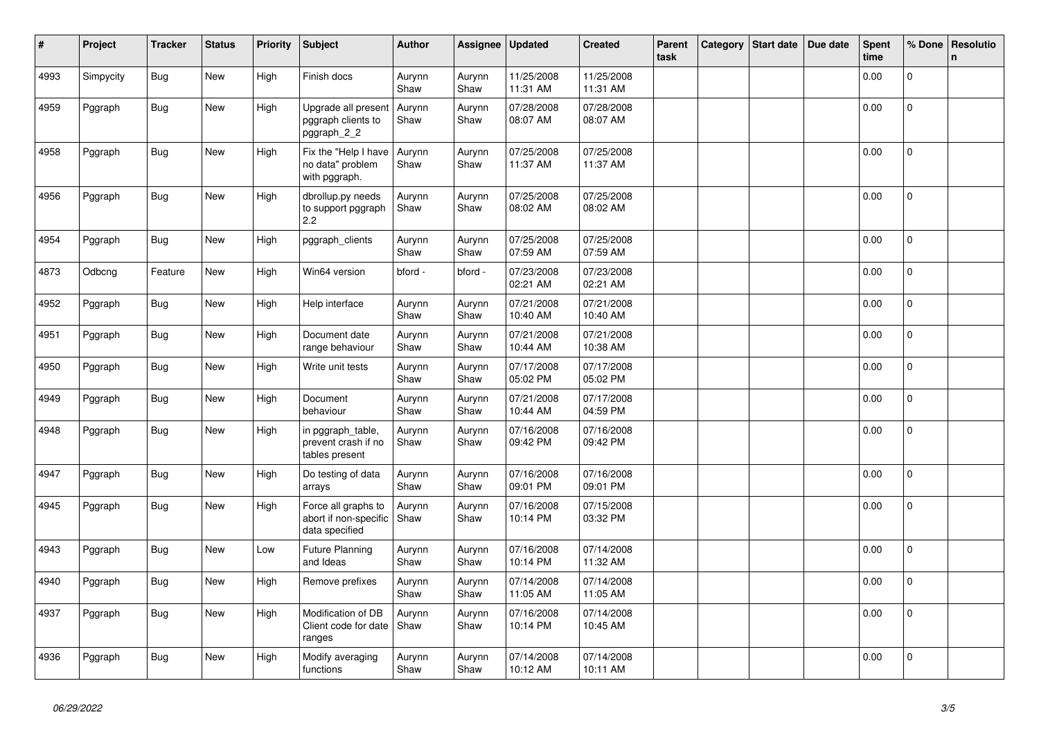| $\vert$ # | Project   | <b>Tracker</b> | <b>Status</b> | <b>Priority</b> | Subject                                                        | <b>Author</b>  | Assignee       | <b>Updated</b>         | <b>Created</b>         | Parent<br>task | Category | Start date | Due date | <b>Spent</b><br>time | % Done         | Resolutio<br>$\mathsf{n}$ |
|-----------|-----------|----------------|---------------|-----------------|----------------------------------------------------------------|----------------|----------------|------------------------|------------------------|----------------|----------|------------|----------|----------------------|----------------|---------------------------|
| 4993      | Simpycity | <b>Bug</b>     | New           | High            | Finish docs                                                    | Aurynn<br>Shaw | Aurynn<br>Shaw | 11/25/2008<br>11:31 AM | 11/25/2008<br>11:31 AM |                |          |            |          | 0.00                 | $\mathbf 0$    |                           |
| 4959      | Pggraph   | Bug            | <b>New</b>    | High            | Upgrade all present<br>pggraph clients to<br>pggraph_2_2       | Aurynn<br>Shaw | Aurynn<br>Shaw | 07/28/2008<br>08:07 AM | 07/28/2008<br>08:07 AM |                |          |            |          | 0.00                 | 0              |                           |
| 4958      | Pggraph   | Bug            | New           | High            | Fix the "Help I have<br>no data" problem<br>with pggraph.      | Aurynn<br>Shaw | Aurynn<br>Shaw | 07/25/2008<br>11:37 AM | 07/25/2008<br>11:37 AM |                |          |            |          | 0.00                 | $\mathbf 0$    |                           |
| 4956      | Pggraph   | <b>Bug</b>     | New           | High            | dbrollup.py needs<br>to support pggraph<br>2.2                 | Aurynn<br>Shaw | Aurynn<br>Shaw | 07/25/2008<br>08:02 AM | 07/25/2008<br>08:02 AM |                |          |            |          | 0.00                 | $\mathbf 0$    |                           |
| 4954      | Pggraph   | <b>Bug</b>     | New           | High            | pggraph_clients                                                | Aurynn<br>Shaw | Aurynn<br>Shaw | 07/25/2008<br>07:59 AM | 07/25/2008<br>07:59 AM |                |          |            |          | 0.00                 | $\mathbf 0$    |                           |
| 4873      | Odbcng    | Feature        | <b>New</b>    | High            | Win64 version                                                  | bford -        | bford -        | 07/23/2008<br>02:21 AM | 07/23/2008<br>02:21 AM |                |          |            |          | 0.00                 | $\overline{0}$ |                           |
| 4952      | Pggraph   | Bug            | New           | High            | Help interface                                                 | Aurynn<br>Shaw | Aurynn<br>Shaw | 07/21/2008<br>10:40 AM | 07/21/2008<br>10:40 AM |                |          |            |          | 0.00                 | $\mathbf 0$    |                           |
| 4951      | Pggraph   | <b>Bug</b>     | New           | High            | Document date<br>range behaviour                               | Aurynn<br>Shaw | Aurynn<br>Shaw | 07/21/2008<br>10:44 AM | 07/21/2008<br>10:38 AM |                |          |            |          | 0.00                 | $\mathbf 0$    |                           |
| 4950      | Pggraph   | Bug            | <b>New</b>    | High            | Write unit tests                                               | Aurynn<br>Shaw | Aurynn<br>Shaw | 07/17/2008<br>05:02 PM | 07/17/2008<br>05:02 PM |                |          |            |          | 0.00                 | $\mathbf 0$    |                           |
| 4949      | Pggraph   | <b>Bug</b>     | New           | High            | Document<br>behaviour                                          | Aurynn<br>Shaw | Aurynn<br>Shaw | 07/21/2008<br>10:44 AM | 07/17/2008<br>04:59 PM |                |          |            |          | 0.00                 | $\mathbf{0}$   |                           |
| 4948      | Pggraph   | <b>Bug</b>     | New           | High            | in pggraph_table,<br>prevent crash if no<br>tables present     | Aurynn<br>Shaw | Aurynn<br>Shaw | 07/16/2008<br>09:42 PM | 07/16/2008<br>09:42 PM |                |          |            |          | 0.00                 | $\Omega$       |                           |
| 4947      | Pggraph   | Bug            | New           | High            | Do testing of data<br>arrays                                   | Aurynn<br>Shaw | Aurynn<br>Shaw | 07/16/2008<br>09:01 PM | 07/16/2008<br>09:01 PM |                |          |            |          | 0.00                 | 0              |                           |
| 4945      | Pggraph   | <b>Bug</b>     | New           | High            | Force all graphs to<br>abort if non-specific<br>data specified | Aurynn<br>Shaw | Aurynn<br>Shaw | 07/16/2008<br>10:14 PM | 07/15/2008<br>03:32 PM |                |          |            |          | 0.00                 | $\pmb{0}$      |                           |
| 4943      | Pggraph   | Bug            | <b>New</b>    | Low             | <b>Future Planning</b><br>and Ideas                            | Aurynn<br>Shaw | Aurynn<br>Shaw | 07/16/2008<br>10:14 PM | 07/14/2008<br>11:32 AM |                |          |            |          | 0.00                 | $\mathbf 0$    |                           |
| 4940      | Pggraph   | Bug            | New           | High            | Remove prefixes                                                | Aurynn<br>Shaw | Aurynn<br>Shaw | 07/14/2008<br>11:05 AM | 07/14/2008<br>11:05 AM |                |          |            |          | 0.00                 | $\overline{0}$ |                           |
| 4937      | Pggraph   | <b>Bug</b>     | <b>New</b>    | High            | Modification of DB<br>Client code for date<br>ranges           | Aurynn<br>Shaw | Aurynn<br>Shaw | 07/16/2008<br>10:14 PM | 07/14/2008<br>10:45 AM |                |          |            |          | 0.00                 | $\Omega$       |                           |
| 4936      | Pggraph   | Bug            | New           | High            | Modify averaging<br>functions                                  | Aurynn<br>Shaw | Aurynn<br>Shaw | 07/14/2008<br>10:12 AM | 07/14/2008<br>10:11 AM |                |          |            |          | 0.00                 | $\overline{0}$ |                           |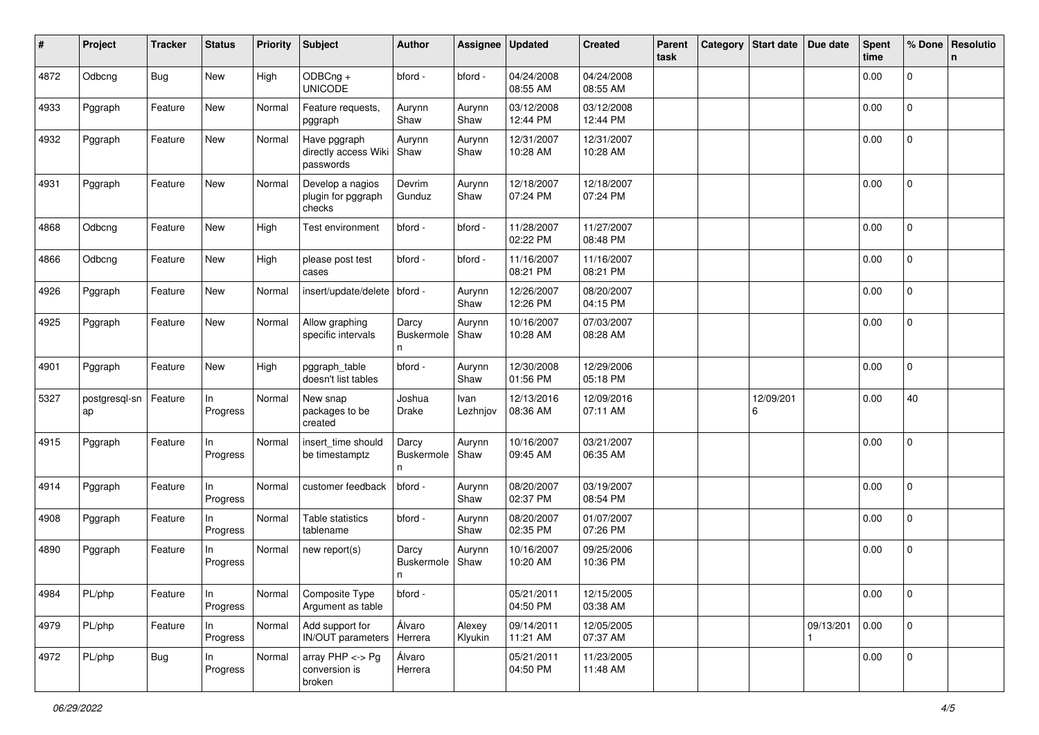| #    | Project             | <b>Tracker</b> | <b>Status</b>  | <b>Priority</b> | <b>Subject</b>                                    | <b>Author</b>                   | Assignee          | <b>Updated</b>         | <b>Created</b>         | Parent<br>task | Category | Start date   Due date |           | <b>Spent</b><br>time | % Done              | Resolutio<br>n |
|------|---------------------|----------------|----------------|-----------------|---------------------------------------------------|---------------------------------|-------------------|------------------------|------------------------|----------------|----------|-----------------------|-----------|----------------------|---------------------|----------------|
| 4872 | Odbcng              | <b>Bug</b>     | New            | High            | ODBCng +<br><b>UNICODE</b>                        | bford -                         | bford -           | 04/24/2008<br>08:55 AM | 04/24/2008<br>08:55 AM |                |          |                       |           | 0.00                 | 0                   |                |
| 4933 | Pggraph             | Feature        | New            | Normal          | Feature requests,<br>pggraph                      | Aurynn<br>Shaw                  | Aurynn<br>Shaw    | 03/12/2008<br>12:44 PM | 03/12/2008<br>12:44 PM |                |          |                       |           | 0.00                 | 0                   |                |
| 4932 | Pggraph             | Feature        | New            | Normal          | Have pggraph<br>directly access Wiki<br>passwords | Aurynn<br>Shaw                  | Aurynn<br>Shaw    | 12/31/2007<br>10:28 AM | 12/31/2007<br>10:28 AM |                |          |                       |           | 0.00                 | 0                   |                |
| 4931 | Pggraph             | Feature        | New            | Normal          | Develop a nagios<br>plugin for pggraph<br>checks  | Devrim<br>Gunduz                | Aurynn<br>Shaw    | 12/18/2007<br>07:24 PM | 12/18/2007<br>07:24 PM |                |          |                       |           | 0.00                 | 0                   |                |
| 4868 | Odbcng              | Feature        | New            | High            | Test environment                                  | bford -                         | bford -           | 11/28/2007<br>02:22 PM | 11/27/2007<br>08:48 PM |                |          |                       |           | 0.00                 | $\overline{0}$      |                |
| 4866 | Odbcng              | Feature        | New            | High            | please post test<br>cases                         | bford -                         | bford -           | 11/16/2007<br>08:21 PM | 11/16/2007<br>08:21 PM |                |          |                       |           | 0.00                 | $\mathbf 0$         |                |
| 4926 | Pggraph             | Feature        | New            | Normal          | insert/update/delete   bford -                    |                                 | Aurynn<br>Shaw    | 12/26/2007<br>12:26 PM | 08/20/2007<br>04:15 PM |                |          |                       |           | 0.00                 | 0                   |                |
| 4925 | Pggraph             | Feature        | New            | Normal          | Allow graphing<br>specific intervals              | Darcy<br>Buskermole<br>n.       | Aurynn<br>Shaw    | 10/16/2007<br>10:28 AM | 07/03/2007<br>08:28 AM |                |          |                       |           | 0.00                 | $\mathbf{0}$        |                |
| 4901 | Pggraph             | Feature        | New            | High            | pggraph_table<br>doesn't list tables              | bford -                         | Aurynn<br>Shaw    | 12/30/2008<br>01:56 PM | 12/29/2006<br>05:18 PM |                |          |                       |           | 0.00                 | $\Omega$            |                |
| 5327 | postgresql-sn<br>ap | Feature        | ln<br>Progress | Normal          | New snap<br>packages to be<br>created             | Joshua<br>Drake                 | Ivan<br>Lezhnjov  | 12/13/2016<br>08:36 AM | 12/09/2016<br>07:11 AM |                |          | 12/09/201<br>6        |           | 0.00                 | 40                  |                |
| 4915 | Pggraph             | Feature        | In<br>Progress | Normal          | insert_time should<br>be timestamptz              | Darcy<br>Buskermole<br>n        | Aurynn<br>Shaw    | 10/16/2007<br>09:45 AM | 03/21/2007<br>06:35 AM |                |          |                       |           | 0.00                 | 0                   |                |
| 4914 | Pggraph             | Feature        | ln<br>Progress | Normal          | customer feedback                                 | bford -                         | Aurynn<br>Shaw    | 08/20/2007<br>02:37 PM | 03/19/2007<br>08:54 PM |                |          |                       |           | 0.00                 | $\Omega$            |                |
| 4908 | Pggraph             | Feature        | In<br>Progress | Normal          | Table statistics<br>tablename                     | bford -                         | Aurynn<br>Shaw    | 08/20/2007<br>02:35 PM | 01/07/2007<br>07:26 PM |                |          |                       |           | 0.00                 | 0                   |                |
| 4890 | Pggraph             | Feature        | In<br>Progress | Normal          | new report(s)                                     | Darcy<br><b>Buskermole</b><br>n | Aurynn<br>Shaw    | 10/16/2007<br>10:20 AM | 09/25/2006<br>10:36 PM |                |          |                       |           | 0.00                 | 0                   |                |
| 4984 | PL/php              | Feature        | In<br>Progress | Normal          | Composite Type<br>Argument as table               | bford -                         |                   | 05/21/2011<br>04:50 PM | 12/15/2005<br>03:38 AM |                |          |                       |           | 0.00                 | 0                   |                |
| 4979 | PL/php              | Feature        | In<br>Progress | Normal          | Add support for<br>IN/OUT parameters              | Álvaro<br>Herrera               | Alexey<br>Klyukin | 09/14/2011<br>11:21 AM | 12/05/2005<br>07:37 AM |                |          |                       | 09/13/201 | 0.00                 | $\mathbf 0$         |                |
| 4972 | PL/php              | <b>Bug</b>     | In<br>Progress | Normal          | array PHP <-> Pg<br>conversion is<br>broken       | Álvaro<br>Herrera               |                   | 05/21/2011<br>04:50 PM | 11/23/2005<br>11:48 AM |                |          |                       |           | 0.00                 | $\mathsf{O}\xspace$ |                |